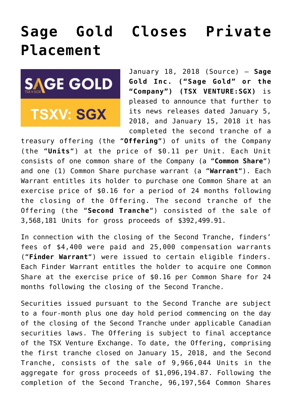## **[Sage Gold Closes Private](https://investorintel.com/markets/gold-silver-base-metals/gold-precious-metals-news/sage-gold-closes-private-placement/) [Placement](https://investorintel.com/markets/gold-silver-base-metals/gold-precious-metals-news/sage-gold-closes-private-placement/)**

**GE GOLD TSXV: SGX** 

January 18, 2018 ([Source\)](https://investorintel.com/iintel-members/sage-gold-inc/) — **Sage Gold Inc. ("Sage Gold" or the "Company") (TSX VENTURE:SGX)** is pleased to announce that further to its news releases dated January 5, 2018, and January 15, 2018 it has completed the second tranche of a

treasury offering (the "**Offering**") of units of the Company (the "**Units**") at the price of \$0.11 per Unit. Each Unit consists of one common share of the Company (a "**Common Share**") and one (1) Common Share purchase warrant (a "**Warrant**"). Each Warrant entitles its holder to purchase one Common Share at an exercise price of \$0.16 for a period of 24 months following the closing of the Offering. The second tranche of the Offering (the "**Second Tranche**") consisted of the sale of 3,568,181 Units for gross proceeds of \$392,499.91.

In connection with the closing of the Second Tranche, finders' fees of \$4,400 were paid and 25,000 compensation warrants ("**Finder Warrant**") were issued to certain eligible finders. Each Finder Warrant entitles the holder to acquire one Common Share at the exercise price of \$0.16 per Common Share for 24 months following the closing of the Second Tranche.

Securities issued pursuant to the Second Tranche are subject to a four-month plus one day hold period commencing on the day of the closing of the Second Tranche under applicable Canadian securities laws. The Offering is subject to final acceptance of the TSX Venture Exchange. To date, the Offering, comprising the first tranche closed on January 15, 2018, and the Second Tranche, consists of the sale of 9,966,044 Units in the aggregate for gross proceeds of \$1,096,194.87. Following the completion of the Second Tranche, 96,197,564 Common Shares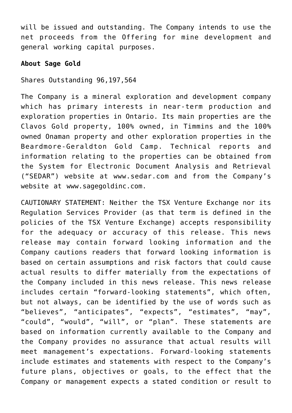will be issued and outstanding. The Company intends to use the net proceeds from the Offering for mine development and general working capital purposes.

## **About Sage Gold**

Shares Outstanding 96,197,564

The Company is a mineral exploration and development company which has primary interests in near-term production and exploration properties in Ontario. Its main properties are the Clavos Gold property, 100% owned, in Timmins and the 100% owned Onaman property and other exploration properties in the Beardmore-Geraldton Gold Camp. Technical reports and information relating to the properties can be obtained from the System for Electronic Document Analysis and Retrieval ("SEDAR") website at [www.sedar.com](http://www.sedar.com/) and from the Company's website at [www.sagegoldinc.com](http://www.sagegoldinc.com/).

CAUTIONARY STATEMENT: Neither the TSX Venture Exchange nor its Regulation Services Provider (as that term is defined in the policies of the TSX Venture Exchange) accepts responsibility for the adequacy or accuracy of this release. This news release may contain forward looking information and the Company cautions readers that forward looking information is based on certain assumptions and risk factors that could cause actual results to differ materially from the expectations of the Company included in this news release. This news release includes certain "forward-looking statements", which often, but not always, can be identified by the use of words such as "believes", "anticipates", "expects", "estimates", "may", "could", "would", "will", or "plan". These statements are based on information currently available to the Company and the Company provides no assurance that actual results will meet management's expectations. Forward-looking statements include estimates and statements with respect to the Company's future plans, objectives or goals, to the effect that the Company or management expects a stated condition or result to